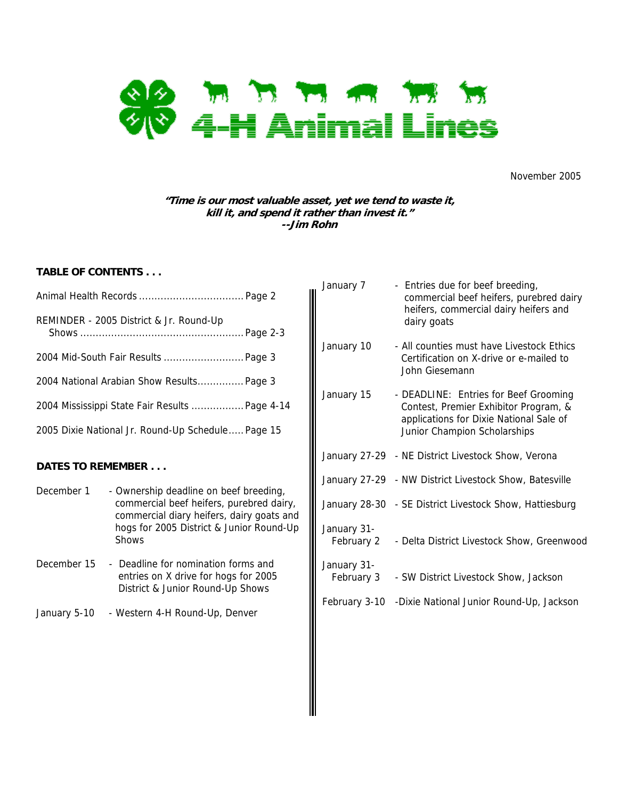

November 2005

# **"Time is our most valuable asset, yet we tend to waste it, kill it, and spend it rather than invest it." --Jim Rohn**

# **TABLE OF CONTENTS . . .**

| REMINDER - 2005 District & Jr. Round-Up           |  |
|---------------------------------------------------|--|
| 2004 Mid-South Fair Results  Page 3               |  |
| 2004 National Arabian Show Results Page 3         |  |
| 2004 Mississippi State Fair Results  Page 4-14    |  |
| 2005 Dixie National Jr. Round-Up Schedule Page 15 |  |
|                                                   |  |

# **DATES TO REMEMBER . . .**

- December 1 Ownership deadline on beef breeding, commercial beef heifers, purebred dairy, commercial diary heifers, dairy goats and hogs for 2005 District & Junior Round-Up **Shows**
- December 15 Deadline for nomination forms and entries on X drive for hogs for 2005 District & Junior Round-Up Shows
- January 5-10 Western 4-H Round-Up, Denver

| January 7                 | - Entries due for beef breeding,<br>commercial beef heifers, purebred dairy<br>heifers, commercial dairy heifers and<br>dairy goats                       |
|---------------------------|-----------------------------------------------------------------------------------------------------------------------------------------------------------|
| January 10                | - All counties must have Livestock Ethics<br>Certification on X-drive or e-mailed to<br>John Giesemann                                                    |
| January 15                | - DEADLINE: Entries for Beef Grooming<br>Contest, Premier Exhibitor Program, &<br>applications for Dixie National Sale of<br>Junior Champion Scholarships |
|                           | January 27-29 - NE District Livestock Show, Verona                                                                                                        |
|                           | January 27-29 - NW District Livestock Show, Batesville                                                                                                    |
|                           | January 28-30 - SE District Livestock Show, Hattiesburg                                                                                                   |
| January 31-<br>February 2 | - Delta District Livestock Show, Greenwood                                                                                                                |
| January 31-<br>February 3 | - SW District Livestock Show, Jackson                                                                                                                     |
|                           | February 3-10 -Dixie National Junior Round-Up, Jackson                                                                                                    |
|                           |                                                                                                                                                           |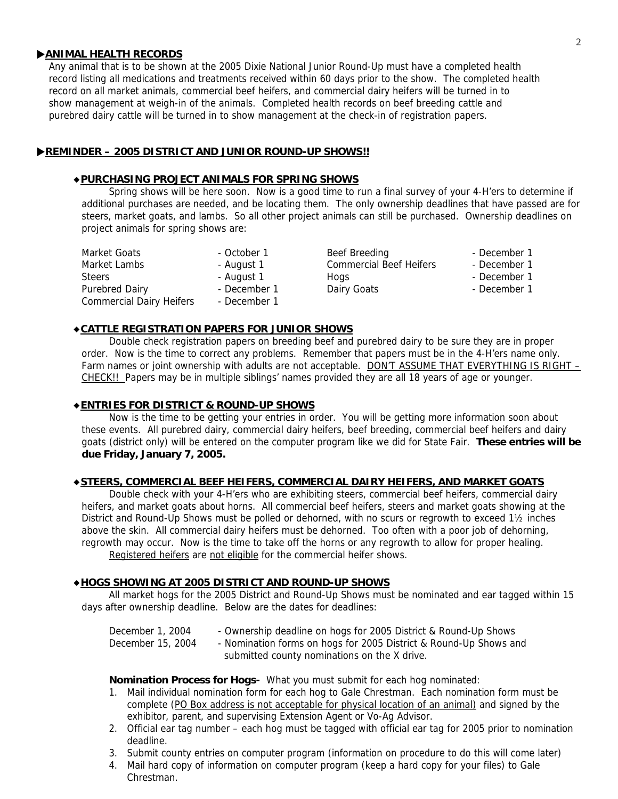# **EXAMINAL HEALTH RECORDS**

 Any animal that is to be shown at the 2005 Dixie National Junior Round-Up must have a completed health record listing all medications and treatments received within 60 days prior to the show. The completed health record on all market animals, commercial beef heifers, and commercial dairy heifers will be turned in to show management at weigh-in of the animals. Completed health records on beef breeding cattle and purebred dairy cattle will be turned in to show management at the check-in of registration papers.

# **EXAMINDER – 2005 DISTRICT AND JUNIOR ROUND-UP SHOWS!!**

# ◆**PURCHASING PROJECT ANIMALS FOR SPRING SHOWS**

Spring shows will be here soon. Now is a good time to run a final survey of your 4-H'ers to determine if additional purchases are needed, and be locating them. The only ownership deadlines that have passed are for steers, market goats, and lambs. So all other project animals can still be purchased. Ownership deadlines on project animals for spring shows are:

Commercial Dairy Heifers - December 1

Market Goats The School Cotober 1 Beef Breeding The Seconder 1 Beef Breeding Constanting December 1 Market Lambs - August 1 Commercial Beef Heifers - December 1 Steers - August 1 Hogs - August 1 Hogs - December 1 Purebred Dairy **Calculation** - December 1 Dairy Goats **- December 1** - December 1

# ◆**CATTLE REGISTRATION PAPERS FOR JUNIOR SHOWS**

 Double check registration papers on breeding beef and purebred dairy to be sure they are in proper order. Now is the time to correct any problems. Remember that papers must be in the 4-H'ers name only. Farm names or joint ownership with adults are not acceptable. DON'T ASSUME THAT EVERYTHING IS RIGHT -CHECK!! Papers may be in multiple siblings' names provided they are all 18 years of age or younger.

# ◆**ENTRIES FOR DISTRICT & ROUND-UP SHOWS**

Now is the time to be getting your entries in order. You will be getting more information soon about these events. All purebred dairy, commercial dairy heifers, beef breeding, commercial beef heifers and dairy goats (district only) will be entered on the computer program like we did for State Fair. **These entries will be due Friday, January 7, 2005.** 

### ◆**STEERS, COMMERCIAL BEEF HEIFERS, COMMERCIAL DAIRY HEIFERS, AND MARKET GOATS**

Double check with your 4-H'ers who are exhibiting steers, commercial beef heifers, commercial dairy heifers, and market goats about horns. All commercial beef heifers, steers and market goats showing at the District and Round-Up Shows must be polled or dehorned, with no scurs or regrowth to exceed 1½ inches above the skin. All commercial dairy heifers must be dehorned. Too often with a poor job of dehorning, regrowth may occur. Now is the time to take off the horns or any regrowth to allow for proper healing. Registered heifers are not eligible for the commercial heifer shows.

# ◆**HOGS SHOWING AT 2005 DISTRICT AND ROUND-UP SHOWS**

All market hogs for the 2005 District and Round-Up Shows must be nominated and ear tagged within 15 days after ownership deadline. Below are the dates for deadlines:

| December 1, 2004  | - Ownership deadline on hogs for 2005 District & Round-Up Shows   |
|-------------------|-------------------------------------------------------------------|
| December 15, 2004 | - Nomination forms on hogs for 2005 District & Round-Up Shows and |
|                   | submitted county nominations on the X drive.                      |

### **Nomination Process for Hogs-** What you must submit for each hog nominated:

- 1. Mail individual nomination form for each hog to Gale Chrestman. Each nomination form must be complete (PO Box address is not acceptable for physical location of an animal) and signed by the exhibitor, parent, and supervising Extension Agent or Vo-Ag Advisor.
- 2. Official ear tag number each hog must be tagged with official ear tag for 2005 prior to nomination deadline.
- 3. Submit county entries on computer program (information on procedure to do this will come later)
- 4. Mail hard copy of information on computer program (keep a hard copy for your files) to Gale Chrestman.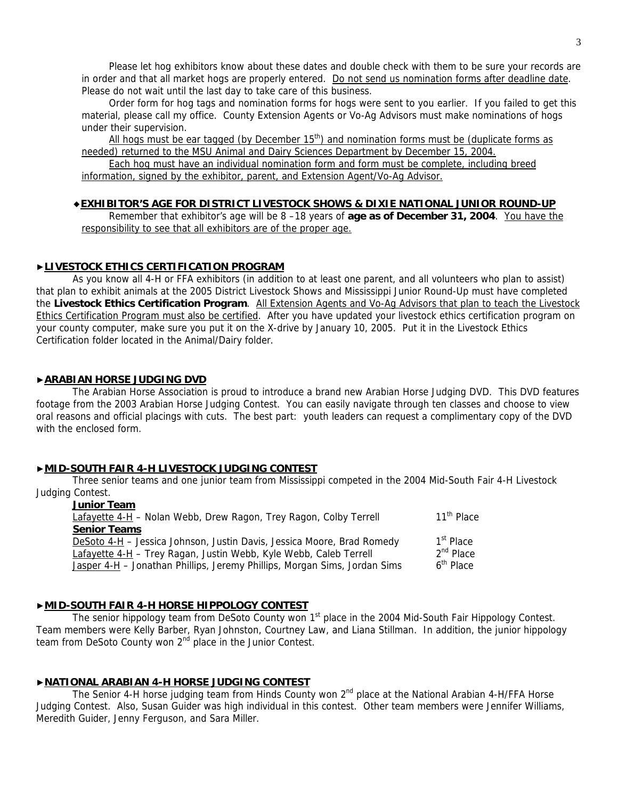Please let hog exhibitors know about these dates and double check with them to be sure your records are in order and that all market hogs are properly entered. Do not send us nomination forms after deadline date. Please do not wait until the last day to take care of this business.

Order form for hog tags and nomination forms for hogs were sent to you earlier. If you failed to get this material, please call my office. County Extension Agents or Vo-Ag Advisors must make nominations of hogs under their supervision.

All hogs must be ear tagged (by December  $15<sup>th</sup>$ ) and nomination forms must be (duplicate forms as needed) returned to the MSU Animal and Dairy Sciences Department by December 15, 2004.

Each hog must have an individual nomination form and form must be complete, including breed information, signed by the exhibitor, parent, and Extension Agent/Vo-Ag Advisor.

# ◆**EXHIBITOR'S AGE FOR DISTRICT LIVESTOCK SHOWS & DIXIE NATIONAL JUNIOR ROUND-UP**

Remember that exhibitor's age will be 8 -18 years of **age as of December 31, 2004**. You have the responsibility to see that all exhibitors are of the proper age.

# ▶**LIVESTOCK ETHICS CERTIFICATION PROGRAM**

 As you know all 4-H or FFA exhibitors (in addition to at least one parent, and all volunteers who plan to assist) that plan to exhibit animals at the 2005 District Livestock Shows and Mississippi Junior Round-Up must have completed the **Livestock Ethics Certification Program**. All Extension Agents and Vo-Ag Advisors that plan to teach the Livestock Ethics Certification Program must also be certified. After you have updated your livestock ethics certification program on your county computer, make sure you put it on the X-drive by January 10, 2005. Put it in the Livestock Ethics Certification folder located in the Animal/Dairy folder.

# ▶**ARABIAN HORSE JUDGING DVD**

The Arabian Horse Association is proud to introduce a brand new Arabian Horse Judging DVD. This DVD features footage from the 2003 Arabian Horse Judging Contest. You can easily navigate through ten classes and choose to view oral reasons and official placings with cuts. The best part: youth leaders can request a complimentary copy of the DVD with the enclosed form.

### ▶**MID-SOUTH FAIR 4-H LIVESTOCK JUDGING CONTEST**

 Three senior teams and one junior team from Mississippi competed in the 2004 Mid-South Fair 4-H Livestock Judging Contest.

| <b>Junior Team</b>                                                        |                        |
|---------------------------------------------------------------------------|------------------------|
| Lafayette 4-H - Nolan Webb, Drew Ragon, Trey Ragon, Colby Terrell         | 11 <sup>th</sup> Place |
| <b>Senior Teams</b>                                                       |                        |
| DeSoto 4-H - Jessica Johnson, Justin Davis, Jessica Moore, Brad Romedy    | 1 <sup>st</sup> Place  |
| Lafayette 4-H - Trey Ragan, Justin Webb, Kyle Webb, Caleb Terrell         | $2nd$ Place            |
| Jasper 4-H - Jonathan Phillips, Jeremy Phillips, Morgan Sims, Jordan Sims | 6 <sup>th</sup> Place  |
|                                                                           |                        |

# ▶**MID-SOUTH FAIR 4-H HORSE HIPPOLOGY CONTEST**

The senior hippology team from DeSoto County won  $1<sup>st</sup>$  place in the 2004 Mid-South Fair Hippology Contest. Team members were Kelly Barber, Ryan Johnston, Courtney Law, and Liana Stillman. In addition, the junior hippology team from DeSoto County won 2<sup>nd</sup> place in the Junior Contest.

### ▶**NATIONAL ARABIAN 4-H HORSE JUDGING CONTEST**

The Senior 4-H horse judging team from Hinds County won 2<sup>nd</sup> place at the National Arabian 4-H/FFA Horse Judging Contest. Also, Susan Guider was high individual in this contest. Other team members were Jennifer Williams, Meredith Guider, Jenny Ferguson, and Sara Miller.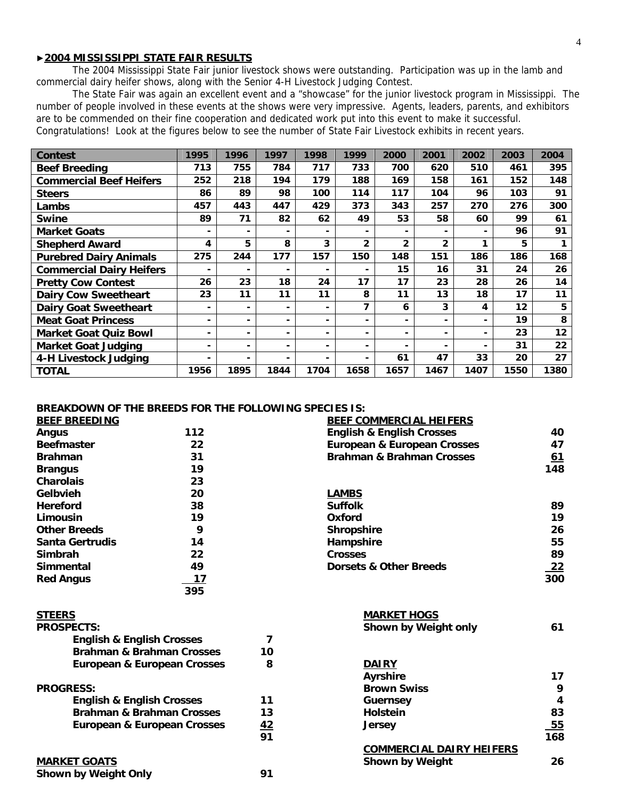# ▶**2004 MISSISSIPPI STATE FAIR RESULTS**

 The 2004 Mississippi State Fair junior livestock shows were outstanding. Participation was up in the lamb and commercial dairy heifer shows, along with the Senior 4-H Livestock Judging Contest.

The State Fair was again an excellent event and a "showcase" for the junior livestock program in Mississippi. The number of people involved in these events at the shows were very impressive. Agents, leaders, parents, and exhibitors are to be commended on their fine cooperation and dedicated work put into this event to make it successful. Congratulations! Look at the figures below to see the number of State Fair Livestock exhibits in recent years.

| <b>Contest</b>                  | 1995                     | 1996 | 1997           | 1998                     | 1999                     | 2000                     | 2001                     | 2002 | 2003 | 2004 |
|---------------------------------|--------------------------|------|----------------|--------------------------|--------------------------|--------------------------|--------------------------|------|------|------|
| <b>Beef Breeding</b>            | 713                      | 755  | 784            | 717                      | 733                      | 700                      | 620                      | 510  | 461  | 395  |
| <b>Commercial Beef Heifers</b>  | 252                      | 218  | 194            | 179                      | 188                      | 169                      | 158                      | 161  | 152  | 148  |
| <b>Steers</b>                   | 86                       | 89   | 98             | 100                      | 114                      | 117                      | 104                      | 96   | 103  | 91   |
| Lambs                           | 457                      | 443  | 447            | 429                      | 373                      | 343                      | 257                      | 270  | 276  | 300  |
| <b>Swine</b>                    | 89                       | 71   | 82             | 62                       | 49                       | 53                       | 58                       | 60   | 99   | 61   |
| <b>Market Goats</b>             | -                        |      |                |                          | $\overline{\phantom{0}}$ |                          |                          |      | 96   | 91   |
| <b>Shepherd Award</b>           | 4                        | 5.   | 8              | 3                        | $\mathbf{2}$             | $\overline{2}$           | $\overline{2}$           | 1    | 5    |      |
| <b>Purebred Dairy Animals</b>   | 275                      | 244  | 177            | 157                      | 150                      | 148                      | 151                      | 186  | 186  | 168  |
| <b>Commercial Dairy Heifers</b> | $\blacksquare$           | -    |                |                          | $\blacksquare$           | 15                       | 16                       | 31   | 24   | 26   |
| <b>Pretty Cow Contest</b>       | 26                       | 23   | 18             | 24                       | 17                       | 17                       | 23                       | 28   | 26   | 14   |
| <b>Dairy Cow Sweetheart</b>     | 23                       | 11   | 11             | 11                       | 8                        | 11                       | 13                       | 18   | 17   | 11   |
| <b>Dairy Goat Sweetheart</b>    | -                        |      | $\blacksquare$ |                          | 7                        | 6                        | 3                        | 4    | 12   | 5    |
| <b>Meat Goat Princess</b>       | $\overline{\phantom{0}}$ | Ξ.   | $\blacksquare$ |                          | $\blacksquare$           | $\overline{\phantom{0}}$ | $\overline{\phantom{0}}$ |      | 19   | 8    |
| <b>Market Goat Quiz Bowl</b>    | $\overline{\phantom{0}}$ | -    | $\blacksquare$ | -                        | $\blacksquare$           |                          | $\overline{\phantom{0}}$ |      | 23   | 12   |
| <b>Market Goat Judging</b>      | $\overline{\phantom{0}}$ | ٠    | $\blacksquare$ | $\overline{\phantom{0}}$ | $\blacksquare$           |                          | -                        |      | 31   | 22   |
| 4-H Livestock Judging           | $\overline{\phantom{0}}$ | -    | $\blacksquare$ |                          | $\blacksquare$           | 61                       | 47                       | 33   | 20   | 27   |
| <b>TOTAL</b>                    | 1956                     | 1895 | 1844           | 1704                     | 1658                     | 1657                     | 1467                     | 1407 | 1550 | 1380 |

# **BREAKDOWN OF THE BREEDS FOR THE FOLLOWING SPECIES IS:**

| <b>BEEF BREEDING</b>                 |                                        |                | <b>BEEF COMMERCIAL HEIFERS</b>         |           |
|--------------------------------------|----------------------------------------|----------------|----------------------------------------|-----------|
| Angus                                | 112                                    |                | <b>English &amp; English Crosses</b>   | 40        |
| <b>Beefmaster</b>                    | 22                                     |                | <b>European &amp; European Crosses</b> | 47        |
| <b>Brahman</b>                       | 31                                     |                | <b>Brahman &amp; Brahman Crosses</b>   | 61        |
| <b>Brangus</b>                       | 19                                     |                |                                        | 148       |
| <b>Charolais</b>                     | 23                                     |                |                                        |           |
| Gelbvieh                             | 20                                     |                | <b>LAMBS</b>                           |           |
| <b>Hereford</b>                      | 38                                     |                | <b>Suffolk</b>                         | 89        |
| Limousin                             | 19                                     |                | Oxford                                 | 19        |
| <b>Other Breeds</b>                  | 9                                      |                | <b>Shropshire</b>                      | 26        |
| Santa Gertrudis                      | 14                                     |                | Hampshire                              | 55        |
| Simbrah                              | 22                                     |                | <b>Crosses</b>                         | 89        |
| Simmental                            | 49                                     |                | <b>Dorsets &amp; Other Breeds</b>      | <u>22</u> |
| <b>Red Angus</b>                     | 17                                     |                |                                        | 300       |
|                                      | 395                                    |                |                                        |           |
| <b>STEERS</b>                        |                                        |                | <b>MARKET HOGS</b>                     |           |
| <b>PROSPECTS:</b>                    |                                        |                | Shown by Weight only                   | 61        |
| <b>English &amp; English Crosses</b> |                                        | $\overline{7}$ |                                        |           |
|                                      | <b>Brahman &amp; Brahman Crosses</b>   | 10             |                                        |           |
|                                      | <b>European &amp; European Crosses</b> | 8              | <b>DAIRY</b>                           |           |
|                                      |                                        |                | <b>Ayrshire</b>                        | 17        |
| <b>PROGRESS:</b>                     |                                        |                | <b>Brown Swiss</b>                     | 9         |
| <b>English &amp; English Crosses</b> |                                        | 11             | <b>Guernsey</b>                        | 4         |
|                                      | <b>Brahman &amp; Brahman Crosses</b>   | 13             | <b>Holstein</b>                        | 83        |
|                                      | <b>European &amp; European Crosses</b> | <u>42</u>      | <b>Jersey</b>                          | 55        |
|                                      |                                        | 91             |                                        | 168       |
|                                      |                                        |                | <b>COMMERCIAL DAIRY HEIFERS</b>        |           |
| <b>MARKET GOATS</b>                  |                                        |                | <b>Shown by Weight</b>                 | 26        |
| <b>Shown by Weight Only</b>          |                                        | 91             |                                        |           |
|                                      |                                        |                |                                        |           |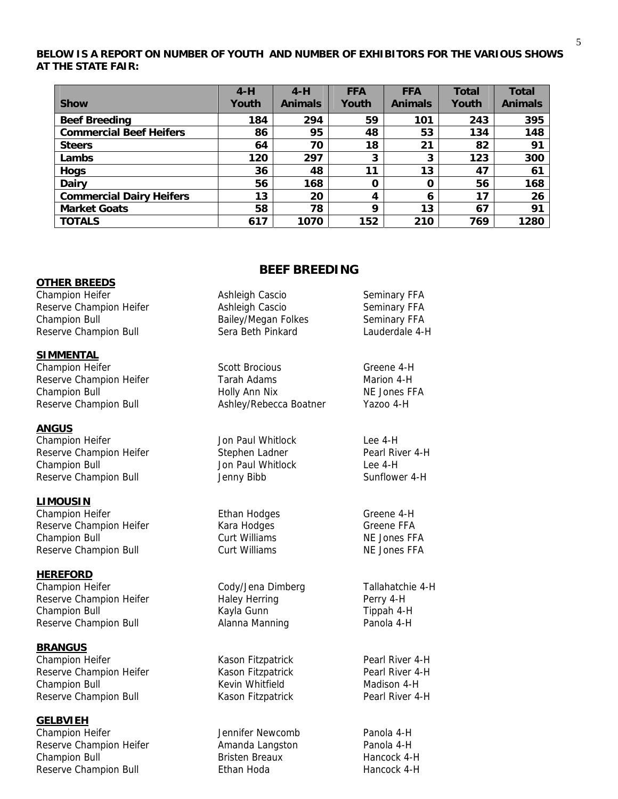# **BELOW IS A REPORT ON NUMBER OF YOUTH AND NUMBER OF EXHIBITORS FOR THE VARIOUS SHOWS AT THE STATE FAIR:**

|                                 | $4-H$ | $4-H$          | <b>FFA</b> | <b>FFA</b>     | <b>Total</b> | <b>Total</b>   |
|---------------------------------|-------|----------------|------------|----------------|--------------|----------------|
| <b>Show</b>                     | Youth | <b>Animals</b> | Youth      | <b>Animals</b> | Youth        | <b>Animals</b> |
| <b>Beef Breeding</b>            | 184   | 294            | 59         | 101            | 243          | 395            |
| <b>Commercial Beef Heifers</b>  | 86    | 95             | 48         | 53             | 134          | 148            |
| <b>Steers</b>                   | 64    | 70             | 18         | 21             | 82           | 91             |
| Lambs                           | 120   | 297            | 3          | 3              | 123          | 300            |
| <b>Hogs</b>                     | 36    | 48             | 11         | 13             | 47           | 61             |
| <b>Dairy</b>                    | 56    | 168            | O          | 0              | 56           | 168            |
| <b>Commercial Dairy Heifers</b> | 13    | 20             | 4          | 6              | 17           | 26             |
| <b>Market Goats</b>             | 58    | 78             | 9          | 13             | 67           | 91             |
| <b>TOTALS</b>                   | 617   | 1070           | 152        | 210            | 769          | 1280           |

# **BEEF BREEDING**

### **OTHER BREEDS** Champion Heifer **Ashleigh Cascio** Ashleigh Cascio Seminary FFA

Reserve Champion Heifer **Ashleigh Cascio** Seminary FFA

# **SIMMENTAL**

### **ANGUS**

Champion Heifer **Champion Heifer** Jon Paul Whitlock Lee 4-H Reserve Champion Heifer **Stephen Ladner** Pearl River 4-H Champion Bull Jon Paul Whitlock Lee 4-H Reserve Champion Bull **Sunflower 4-H** Jenny Bibb Sunflower 4-H

### **LIMOUSIN**

Champion Heifer **Ethan Hodges** Greene 4-H Reserve Champion Heifer Theory Champion Heifer Champion Champion Champion Champion Bull Curt Williams<br>Curt Williams Curt Curt Curt Curt Curt Curt Champion Bull Curt Curt Curt Curt Curt Curt Connect Comme Curt Cur<br>Curt Curt Champion Bull **Curt Williams**<br>
Curt Williams<br>
Curt Williams<br>
Curt Williams<br>
NE Jones FFA Reserve Champion Bull **Curt Williams** NE Jones FFA

**HEREFORD** Champion Heifer<br>
Reserve Champion Heifer<br>
Haley Herring<br>
Haley Herring<br>
Perry 4-H Reserve Champion Heifer **Haley Herring** Perry 4-H Champion Bull **Kayla Gunn** Kayla Gunn Tippah 4-H Reserve Champion Bull **Alanna Manning** Panola 4-H

# **BRANGUS**

Champion Heifer **Kason Fitzpatrick** Pearl River 4-H Reserve Champion Heifer The Kason Fitzpatrick Theory Pearl River 4-H Champion Bull **Champion Bull** Kevin Whitfield Madison 4-H Reserve Champion Bull **Kason Fitzpatrick** Pearl River 4-H

### **GELBVIEH**

Champion Heifer **Interpretent Champion Heifer** Memorial Account of the United States of Panola 4-H Reserve Champion Heifer **Amanda Langston** Panola 4-H Champion Bull **Bristen Breaux** Hancock 4-H Reserve Champion Bull **Ethan Hoda Hancock 4-H Hancock 4-H** 

| <b>Champion Bull</b>    | <b>Bailey/Megan Folkes</b> | Seminary FFA   |
|-------------------------|----------------------------|----------------|
| Reserve Champion Bull   | Sera Beth Pinkard          | Lauderdale 4-H |
| <b>SIMMENTAL</b>        |                            |                |
| Champion Heifer         | <b>Scott Brocious</b>      | Greene 4-H     |
| Reserve Champion Heifer | Tarah Adams                | Marion 4-H     |
| Champion Bull           | Holly Ann Nix              | NE Jones FFA   |
| Reserve Champion Bull   | Ashley/Rebecca Boatner     | Yazoo 4-H      |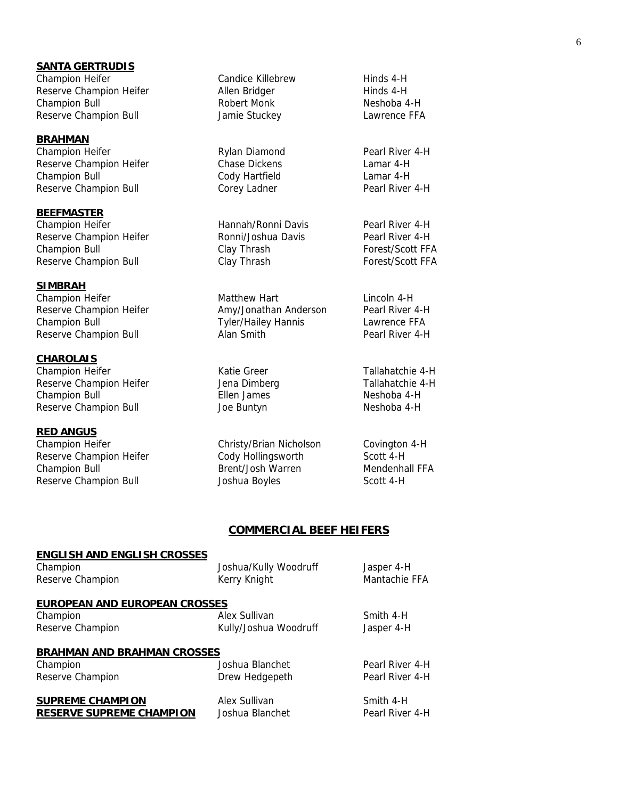# **SANTA GERTRUDIS**

Champion Heifer **Candice Killebrew** Hinds 4-H Reserve Champion Heifer **Allen Bridger** And Hinds 4-H Champion Bull **Robert Monk** Robert Monk Neshoba 4-H Reserve Champion Bull **Stuckey** Jamie Stuckey Lawrence FFA

**BRAHMAN** Champion Heifer **Rylan Diamond** Pearl River 4-H Reserve Champion Heifer Chase Dickens Chase Chamar 4-H Champion Bull Cody Hartfield Lamar 4-H Reserve Champion Bull **Corey Ladner** Corey Ladner Pearl River 4-H

**BEEFMASTER** Champion Heifer **Hannah/Ronni Davis** Pearl River 4-H Reserve Champion Heifer **Ronni/Joshua Davis** Pearl River 4-H Champion Bull **Clay Thrash Forest/Scott FFA** Reserve Champion Bull **Forest**/Scott FFA

**SIMBRAH** Champion Heifer **Matthew Hart** Matthew Hart Lincoln 4-H Reserve Champion Heifer **Amy/Jonathan Anderson** Pearl River 4-H Champion Bull Tyler/Hailey Hannis Lawrence FFA Reserve Champion Bull **Alan Smith** Alan Smith Pearl River 4-H

**CHAROLAIS** Champion Heifer Tallahatchie 4-H Reserve Champion Heifer The Muslim Jena Dimberg Tallahatchie 4-H Champion Bull Ellen James Neshoba 4-H Reserve Champion Bull **Solution Container Search Accord Accord Container** Neshoba 4-H

**RED ANGUS** Champion Heifer Christy/Brian Nicholson Covington 4-H Reserve Champion Heifer Cody Hollingsworth Scott 4-H Champion Bull Brent/Josh Warren Mendenhall FFA Reserve Champion Bull **Scott 4-H** Joshua Boyles Scott 4-H

# **COMMERCIAL BEEF HEIFERS**

#### **ENGLISH AND ENGLISH CROSSES** Champion Joshua/Kully Woodruff Jasper 4-H

Reserve Champion The Mantachie FFA Champion Champion Mantachie FFA

### **EUROPEAN AND EUROPEAN CROSSES**

Champion **Alex Sullivan** Alex Sullivan Smith 4-H Reserve Champion The Rully/Joshua Woodruff The Jasper 4-H

**BRAHMAN AND BRAHMAN CROSSES**

Reserve Champion **Drew Hedgepeth** Pearl River 4-H

Champion Joshua Blanchet Pearl River 4-H

**SUPREME CHAMPION Alex Sullivan Alex Sullivan** Smith 4-H **RESERVE SUPREME CHAMPION** Joshua Blanchet Pearl River 4-H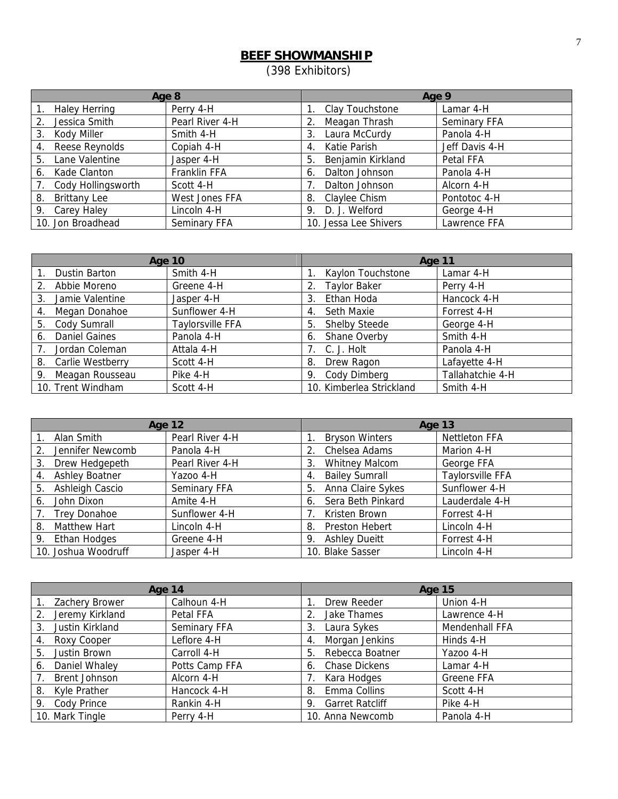# **BEEF SHOWMANSHIP**

(398 Exhibitors)

| Age 8 |                      |                 | Age 9                                 |  |  |
|-------|----------------------|-----------------|---------------------------------------|--|--|
|       | <b>Haley Herring</b> | Perry 4-H       | Clay Touchstone<br>Lamar 4-H          |  |  |
| 2.    | Jessica Smith        | Pearl River 4-H | Seminary FFA<br>Meagan Thrash         |  |  |
| 3.    | Kody Miller          | Smith 4-H       | Panola 4-H<br>Laura McCurdy           |  |  |
| 4.    | Reese Reynolds       | Copiah 4-H      | Katie Parish<br>Jeff Davis 4-H<br>4.  |  |  |
| 5.    | Lane Valentine       | Jasper 4-H      | Benjamin Kirkland<br>Petal FFA<br>5   |  |  |
| 6.    | Kade Clanton         | Franklin FFA    | Dalton Johnson<br>Panola 4-H<br>6.    |  |  |
| 7.    | Cody Hollingsworth   | Scott 4-H       | Dalton Johnson<br>Alcorn 4-H          |  |  |
| 8.    | <b>Brittany Lee</b>  | West Jones FFA  | Claylee Chism<br>Pontotoc 4-H<br>8.   |  |  |
| 9.    | Carey Haley          | Lincoln 4-H     | D. J. Welford<br>George 4-H<br>9.     |  |  |
|       | 10. Jon Broadhead    | Seminary FFA    | 10. Jessa Lee Shivers<br>Lawrence FFA |  |  |

| <b>Age 10</b>  |                      |                  | <b>Age 11</b>                            |  |  |
|----------------|----------------------|------------------|------------------------------------------|--|--|
| $\mathbf{1}$ . | Dustin Barton        | Smith 4-H        | Kaylon Touchstone<br>Lamar 4-H           |  |  |
| 2.             | Abbie Moreno         | Greene 4-H       | <b>Taylor Baker</b><br>Perry 4-H         |  |  |
| 3.             | Jamie Valentine      | Jasper 4-H       | Ethan Hoda<br>Hancock 4-H<br>3.          |  |  |
| 4.             | Megan Donahoe        | Sunflower 4-H    | <b>Seth Maxie</b><br>Forrest 4-H<br>4.   |  |  |
| 5.             | Cody Sumrall         | Taylorsville FFA | <b>Shelby Steede</b><br>5.<br>George 4-H |  |  |
| 6.             | <b>Daniel Gaines</b> | Panola 4-H       | Smith 4-H<br>Shane Overby<br>6.          |  |  |
| 7 <sub>1</sub> | Jordan Coleman       | Attala 4-H       | C. J. Holt<br>Panola 4-H                 |  |  |
|                | 8. Carlie Westberry  | Scott 4-H        | Lafayette 4-H<br>Drew Ragon<br>8.        |  |  |
| 9.             | Meagan Rousseau      | Pike 4-H         | Tallahatchie 4-H<br>Cody Dimberg<br>9.   |  |  |
|                | 10. Trent Windham    | Scott 4-H        | 10. Kimberlea Strickland<br>Smith 4-H    |  |  |

|                             | <b>Age 12</b>   | Age 13                      |                      |  |
|-----------------------------|-----------------|-----------------------------|----------------------|--|
| Alan Smith                  | Pearl River 4-H | <b>Bryson Winters</b>       | <b>Nettleton FFA</b> |  |
| Jennifer Newcomb<br>2.      | Panola 4-H      | Chelsea Adams               | Marion 4-H           |  |
| Drew Hedgepeth<br>3.        | Pearl River 4-H | <b>Whitney Malcom</b><br>3. | George FFA           |  |
| <b>Ashley Boatner</b><br>4. | Yazoo 4-H       | <b>Bailey Sumrall</b><br>4. | Taylorsville FFA     |  |
| Ashleigh Cascio<br>5.       | Seminary FFA    | Anna Claire Sykes<br>5.     | Sunflower 4-H        |  |
| John Dixon<br>6.            | Amite 4-H       | Sera Beth Pinkard<br>6.     | Lauderdale 4-H       |  |
| <b>Trey Donahoe</b>         | Sunflower 4-H   | Kristen Brown               | Forrest 4-H          |  |
| Matthew Hart<br>8.          | Lincoln 4-H     | Preston Hebert<br>8.        | Lincoln 4-H          |  |
| 9. Ethan Hodges             | Greene 4-H      | <b>Ashley Dueitt</b><br>9.  | Forrest 4-H          |  |
| 10. Joshua Woodruff         | Jasper 4-H      | 10. Blake Sasser            | Lincoln 4-H          |  |

|                       | Age 14         | <b>Age 15</b>                |                |  |
|-----------------------|----------------|------------------------------|----------------|--|
| Zachery Brower        | Calhoun 4-H    | Drew Reeder                  | Union 4-H      |  |
| Jeremy Kirkland<br>2. | Petal FFA      | Jake Thames                  | Lawrence 4-H   |  |
| Justin Kirkland<br>3. | Seminary FFA   | Laura Sykes<br>3.            | Mendenhall FFA |  |
| Roxy Cooper<br>4.     | Leflore 4-H    | Morgan Jenkins<br>4.         | Hinds 4-H      |  |
| Justin Brown<br>5.    | Carroll 4-H    | Rebecca Boatner<br>5.        | Yazoo 4-H      |  |
| Daniel Whaley<br>6.   | Potts Camp FFA | Chase Dickens<br>6.          | Lamar 4-H      |  |
| <b>Brent Johnson</b>  | Alcorn 4-H     | Kara Hodges                  | Greene FFA     |  |
| Kyle Prather<br>8.    | Hancock 4-H    | Emma Collins<br>8.           | Scott 4-H      |  |
| 9. Cody Prince        | Rankin 4-H     | <b>Garret Ratcliff</b><br>9. | Pike 4-H       |  |
| 10. Mark Tingle       | Perry 4-H      | 10. Anna Newcomb             | Panola 4-H     |  |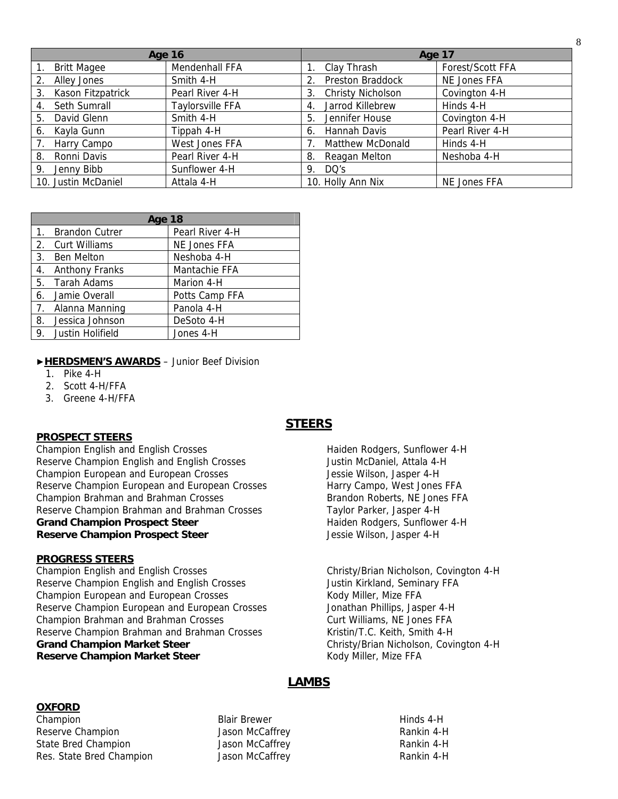| <b>Age 16</b>           |                         | Age 17                         |                  |
|-------------------------|-------------------------|--------------------------------|------------------|
| <b>Britt Magee</b>      | Mendenhall FFA          | Clay Thrash                    | Forest/Scott FFA |
| Alley Jones<br>2.       | Smith 4-H               | Preston Braddock               | NE Jones FFA     |
| Kason Fitzpatrick<br>3. | Pearl River 4-H         | <b>Christy Nicholson</b><br>3. | Covington 4-H    |
| Seth Sumrall<br>4.      | <b>Taylorsville FFA</b> | Jarrod Killebrew<br>4          | Hinds 4-H        |
| David Glenn<br>5.       | Smith 4-H               | Jennifer House<br>5            | Covington 4-H    |
| Kayla Gunn<br>6.        | Tippah 4-H              | Hannah Davis<br>6.             | Pearl River 4-H  |
| Harry Campo             | West Jones FFA          | Matthew McDonald               | Hinds 4-H        |
| Ronni Davis<br>8.       | Pearl River 4-H         | Reagan Melton<br>8.            | Neshoba 4-H      |
| Jenny Bibb<br>9.        | Sunflower 4-H           | DQ's<br>9.                     |                  |
| 10. Justin McDaniel     | Attala 4-H              | 10. Holly Ann Nix              | NE Jones FFA     |

|                | Age 18                |                 |  |  |  |
|----------------|-----------------------|-----------------|--|--|--|
| $\mathbf{1}$ . | <b>Brandon Cutrer</b> | Pearl River 4-H |  |  |  |
|                | 2. Curt Williams      | NE Jones FFA    |  |  |  |
| 3.             | <b>Ben Melton</b>     | Neshoba 4-H     |  |  |  |
| 4.             | <b>Anthony Franks</b> | Mantachie FFA   |  |  |  |
|                | 5. Tarah Adams        | Marion 4-H      |  |  |  |
|                | 6. Jamie Overall      | Potts Camp FFA  |  |  |  |
| 7.             | Alanna Manning        | Panola 4-H      |  |  |  |
| 8.             | Jessica Johnson       | DeSoto 4-H      |  |  |  |
|                | 9. Justin Holifield   | Jones 4-H       |  |  |  |

#### ▶**HERDSMEN'S AWARDS** – Junior Beef Division

- 1. Pike 4-H
- 2. Scott 4-H/FFA
- 3. Greene 4-H/FFA

#### **PROSPECT STEERS**

Champion English and English Crosses Haiden Rodgers, Sunflower 4-H Reserve Champion English and English Crosses Justin McDaniel, Attala 4-H Champion European and European Crosses Sand Australian Muslim Jessie Wilson, Jasper 4-H Reserve Champion European and European Crosses Harry Campo, West Jones FFA Champion Brahman and Brahman Crosses **Brandon Roberts, NE Jones FFA** Reserve Champion Brahman and Brahman Crosses Taylor Parker, Jasper 4-H **Grand Champion Prospect Steer Haiden Rodgers, Sunflower 4-H Haiden Rodgers**, Sunflower 4-H **Reserve Champion Prospect Steer Jessie Wilson, Jasper 4-H Reserve Champion Prospect Steer** 

#### **PROGRESS STEERS**

Champion English and English Crosses Christy/Brian Nicholson, Covington 4-H Reserve Champion English and English Crosses **Face State State State And Transford Constant** Justin Kirkland, Seminary FFA Champion European and European Crosses The Roady Miller, Mize FFA Reserve Champion European and European Crosses Jonathan Phillips, Jasper 4-H Champion Brahman and Brahman Crosses Curt Williams, NE Jones FFA Reserve Champion Brahman and Brahman Crosses Kristin/T.C. Keith, Smith 4-H Grand Champion Market Steer **Christy/Brian Nicholson, Covington 4-H Reserve Champion Market Steer** Market Steer Kody Miller, Mize FFA

# **STEERS**

8

# **LAMBS**

# **OXFORD**

Champion **Blair Brewer** Blair Brewer **Hinds 4-H** Hinds 4-H Reserve Champion The Cass of McCaffrey The Rankin 4-H State Bred Champion **State Bred Champion** Jason McCaffrey **Rankin 4-H** Res. State Bred Champion **Canadia Champion** Jason McCaffrey **Rankin 4-H** Rankin 4-H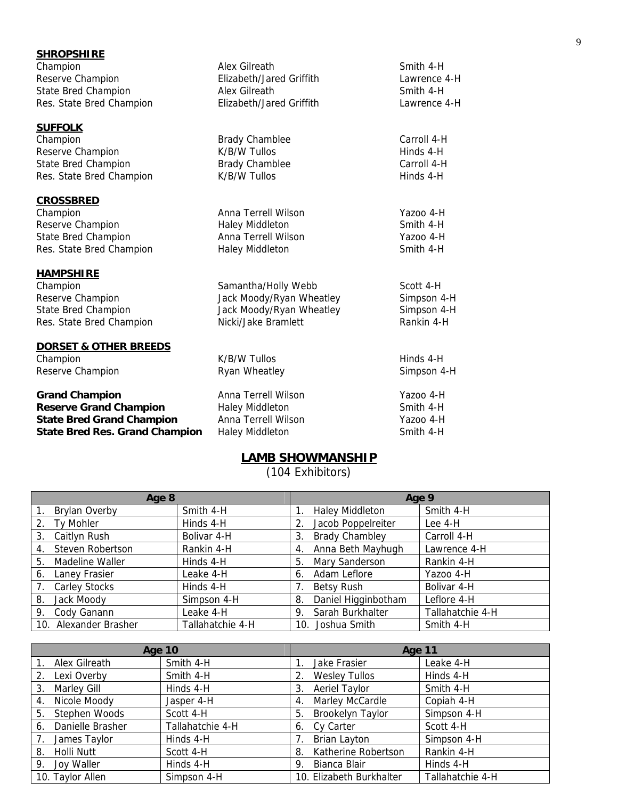| <b>SHROPSHIRE</b>                     |                          |              |
|---------------------------------------|--------------------------|--------------|
| Champion                              | Alex Gilreath            | Smith 4-H    |
| Reserve Champion                      | Elizabeth/Jared Griffith | Lawrence 4-H |
| <b>State Bred Champion</b>            | Alex Gilreath            | Smith 4-H    |
| Res. State Bred Champion              | Elizabeth/Jared Griffith | Lawrence 4-H |
| <b>SUFFOLK</b>                        |                          |              |
| Champion                              | <b>Brady Chamblee</b>    | Carroll 4-H  |
| Reserve Champion                      | K/B/W Tullos             | Hinds 4-H    |
| <b>State Bred Champion</b>            | <b>Brady Chamblee</b>    | Carroll 4-H  |
| Res. State Bred Champion              | K/B/W Tullos             | Hinds 4-H    |
|                                       |                          |              |
| <b>CROSSBRED</b><br>Champion          | Anna Terrell Wilson      | Yazoo 4-H    |
| Reserve Champion                      | <b>Haley Middleton</b>   | Smith 4-H    |
| <b>State Bred Champion</b>            | Anna Terrell Wilson      | Yazoo 4-H    |
| Res. State Bred Champion              | <b>Haley Middleton</b>   | Smith 4-H    |
| <b>HAMPSHIRE</b>                      |                          |              |
| Champion                              | Samantha/Holly Webb      | Scott 4-H    |
| Reserve Champion                      | Jack Moody/Ryan Wheatley | Simpson 4-H  |
| State Bred Champion                   | Jack Moody/Ryan Wheatley | Simpson 4-H  |
| Res. State Bred Champion              | Nicki/Jake Bramlett      | Rankin 4-H   |
|                                       |                          |              |
| <b>DORSET &amp; OTHER BREEDS</b>      |                          |              |
| Champion                              | K/B/W Tullos             | Hinds 4-H    |
| Reserve Champion                      | Ryan Wheatley            | Simpson 4-H  |
| <b>Grand Champion</b>                 | Anna Terrell Wilson      | Yazoo 4-H    |
| <b>Reserve Grand Champion</b>         | <b>Haley Middleton</b>   | Smith 4-H    |
| <b>State Bred Grand Champion</b>      | Anna Terrell Wilson      | Yazoo 4-H    |
| <b>State Bred Res. Grand Champion</b> | <b>Haley Middleton</b>   | Smith 4-H    |

# **LAMB SHOWMANSHIP**

(104 Exhibitors)

|             | Age 8                 |                  |    | Age 9                  |                  |  |
|-------------|-----------------------|------------------|----|------------------------|------------------|--|
| 1.          | Brylan Overby         | Smith 4-H        |    | <b>Haley Middleton</b> | Smith 4-H        |  |
| 2.          | Ty Mohler             | Hinds 4-H        |    | Jacob Poppelreiter     | Lee 4-H          |  |
| 3.          | Caitlyn Rush          | Bolivar 4-H      | 3. | <b>Brady Chambley</b>  | Carroll 4-H      |  |
| 4.          | Steven Robertson      | Rankin 4-H       | 4. | Anna Beth Mayhugh      | Lawrence 4-H     |  |
| 5.          | Madeline Waller       | Hinds 4-H        | 5. | Mary Sanderson         | Rankin 4-H       |  |
| 6.          | Laney Frasier         | Leake 4-H        | 6. | Adam Leflore           | Yazoo 4-H        |  |
| $7_{\cdot}$ | <b>Carley Stocks</b>  | Hinds 4-H        |    | Betsy Rush             | Bolivar 4-H      |  |
| 8.          | Jack Moody            | Simpson 4-H      | 8. | Daniel Higginbotham    | Leflore 4-H      |  |
| 9.          | Cody Ganann           | Leake 4-H        | 9. | Sarah Burkhalter       | Tallahatchie 4-H |  |
|             | 10. Alexander Brasher | Tallahatchie 4-H |    | 10. Joshua Smith       | Smith 4-H        |  |

|                        | <b>Age 10</b>    | Age 11                     |                  |  |
|------------------------|------------------|----------------------------|------------------|--|
| Alex Gilreath          | Smith 4-H        | Jake Frasier               | Leake 4-H        |  |
| Lexi Overby<br>2.      | Smith 4-H        | <b>Wesley Tullos</b>       | Hinds 4-H        |  |
| Marley Gill<br>3.      | Hinds 4-H        | <b>Aeriel Taylor</b><br>3. | Smith 4-H        |  |
| Nicole Moody<br>4.     | Jasper 4-H       | Marley McCardle<br>4.      | Copiah 4-H       |  |
| Stephen Woods<br>5.    | Scott 4-H        | Brookelyn Taylor<br>5.     | Simpson 4-H      |  |
| Danielle Brasher<br>6. | Tallahatchie 4-H | Cy Carter<br>6.            | Scott 4-H        |  |
| James Taylor           | Hinds 4-H        | <b>Brian Layton</b>        | Simpson 4-H      |  |
| Holli Nutt<br>8.       | Scott 4-H        | Katherine Robertson<br>8.  | Rankin 4-H       |  |
| Joy Waller<br>9.       | Hinds 4-H        | Bianca Blair<br>-9.        | Hinds 4-H        |  |
| 10. Taylor Allen       | Simpson 4-H      | 10. Elizabeth Burkhalter   | Tallahatchie 4-H |  |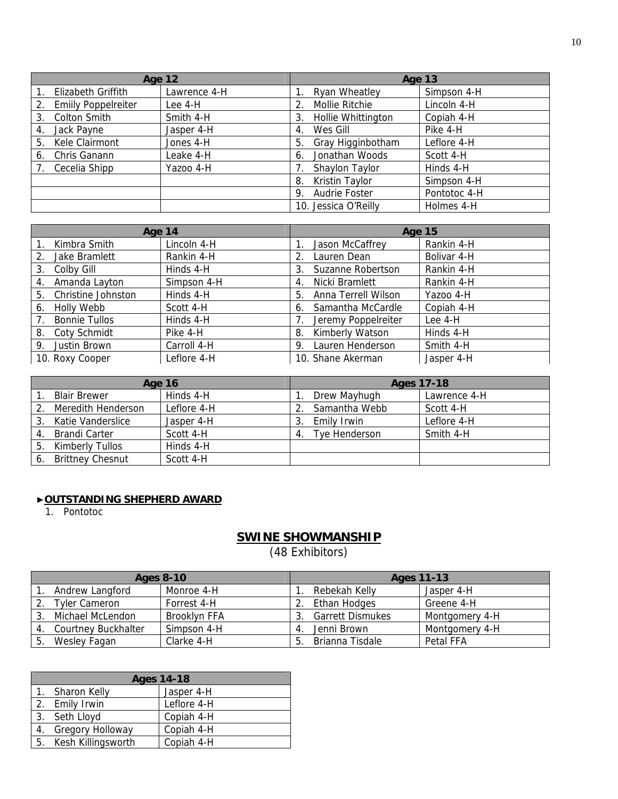|    | <b>Age 12</b>              |              |    | Age 13               |              |
|----|----------------------------|--------------|----|----------------------|--------------|
|    | Elizabeth Griffith         | Lawrence 4-H |    | Ryan Wheatley        | Simpson 4-H  |
| 2. | <b>Emilly Poppelreiter</b> | Lee 4-H      | 2. | Mollie Ritchie       | Lincoln 4-H  |
| 3. | <b>Colton Smith</b>        | Smith 4-H    | 3. | Hollie Whittington   | Copiah 4-H   |
| 4. | Jack Payne                 | Jasper 4-H   | 4. | Wes Gill             | Pike 4-H     |
| 5. | Kele Clairmont             | Jones 4-H    | 5. | Gray Higginbotham    | Leflore 4-H  |
| 6. | Chris Ganann               | Leake 4-H    | 6. | Jonathan Woods       | Scott 4-H    |
|    | Cecelia Shipp              | Yazoo 4-H    |    | Shaylon Taylor       | Hinds 4-H    |
|    |                            |              | 8. | Kristin Taylor       | Simpson 4-H  |
|    |                            |              | 9. | Audrie Foster        | Pontotoc 4-H |
|    |                            |              |    | 10. Jessica O'Reilly | Holmes 4-H   |

| Age 14                                                  |             | <b>Age 15</b>             |             |  |
|---------------------------------------------------------|-------------|---------------------------|-------------|--|
| Kimbra Smith                                            | Lincoln 4-H | Jason McCaffrey           | Rankin 4-H  |  |
| Jake Bramlett<br>2.                                     | Rankin 4-H  | Lauren Dean<br>2.         | Bolivar 4-H |  |
| Colby Gill<br>3.                                        | Hinds 4-H   | Suzanne Robertson<br>3.   | Rankin 4-H  |  |
| Amanda Layton<br>4.                                     | Simpson 4-H | Nicki Bramlett<br>4.      | Rankin 4-H  |  |
| Christine Johnston<br>5.                                | Hinds 4-H   | Anna Terrell Wilson<br>5. | Yazoo 4-H   |  |
| Holly Webb<br>6.                                        | Scott 4-H   | Samantha McCardle<br>6.   | Copiah 4-H  |  |
| <b>Bonnie Tullos</b><br>$7_{\scriptscriptstyle{\circ}}$ | Hinds 4-H   | Jeremy Poppelreiter       | Lee $4-H$   |  |
| 8. Coty Schmidt                                         | Pike 4-H    | Kimberly Watson<br>8.     | Hinds 4-H   |  |
| Justin Brown<br>9.                                      | Carroll 4-H | Lauren Henderson<br>9.    | Smith 4-H   |  |
| 10. Roxy Cooper                                         | Leflore 4-H | 10. Shane Akerman         | Jasper 4-H  |  |

|    | <b>Age 16</b>           |             |                  | Ages 17-18    |              |  |
|----|-------------------------|-------------|------------------|---------------|--------------|--|
|    | <b>Blair Brewer</b>     | Hinds 4-H   |                  | Drew Mayhugh  | Lawrence 4-H |  |
|    | Meredith Henderson      | Leflore 4-H |                  | Samantha Webb | Scott 4-H    |  |
|    | Katie Vanderslice       | Jasper 4-H  | 3                | Emily Irwin   | Leflore 4-H  |  |
| 4. | Brandi Carter           | Scott 4-H   | $\overline{4}$ . | Tye Henderson | Smith 4-H    |  |
| 5. | Kimberly Tullos         | Hinds 4-H   |                  |               |              |  |
|    | <b>Brittney Chesnut</b> | Scott 4-H   |                  |               |              |  |

### ▶**OUTSTANDING SHEPHERD AWARD**

1. Pontotoc

# **SWINE SHOWMANSHIP**

(48 Exhibitors)

| <b>Ages 8-10</b> |                            | <b>Ages 11-13</b> |   |                         |                |
|------------------|----------------------------|-------------------|---|-------------------------|----------------|
|                  | Andrew Langford            | Monroe 4-H        |   | Rebekah Kellv           | Jasper 4-H     |
|                  | <b>Tyler Cameron</b>       | Forrest 4-H       |   | Ethan Hodges            | Greene 4-H     |
| 3.               | Michael McLendon           | Brooklyn FFA      |   | <b>Garrett Dismukes</b> | Montgomery 4-H |
| 4.               | <b>Courtney Buckhalter</b> | Simpson 4-H       | 4 | Jenni Brown             | Montgomery 4-H |
| -5.              | Wesley Fagan               | Clarke 4-H        | 5 | Brianna Tisdale         | Petal FFA      |

|    | <b>Ages 14-18</b>     |             |  |  |  |
|----|-----------------------|-------------|--|--|--|
|    | Sharon Kelly          | Jasper 4-H  |  |  |  |
|    | 2. Emily Irwin        | Leflore 4-H |  |  |  |
|    | 3. Seth Lloyd         | Copiah 4-H  |  |  |  |
| 4. | Gregory Holloway      | Copiah 4-H  |  |  |  |
|    | 5. Kesh Killingsworth | Copiah 4-H  |  |  |  |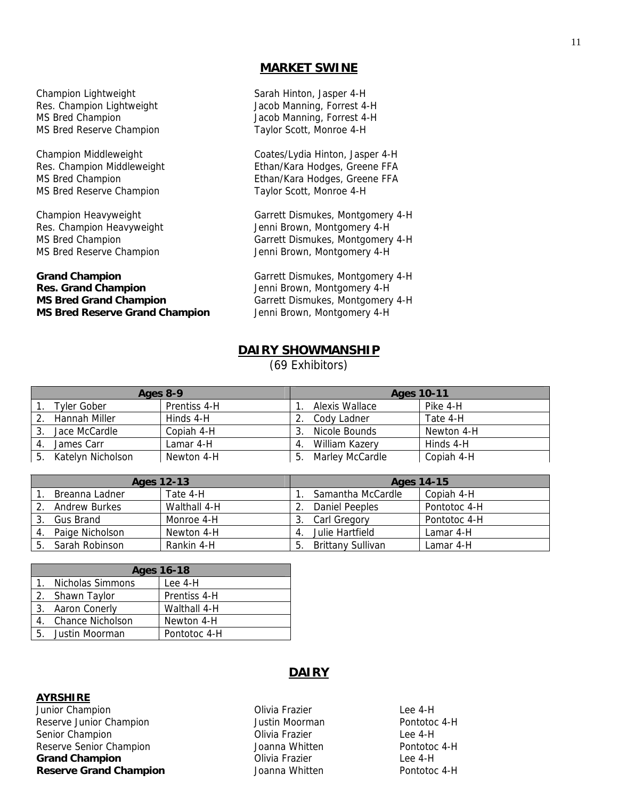# **MARKET SWINE**

Champion Lightweight Sarah Hinton, Jasper 4-H Res. Champion Lightweight **Jacob Manning, Forrest 4-H** MS Bred Champion **MS** Bred Champion MS Bred Reserve Champion Taylor Scott, Monroe 4-H

MS Bred Reserve Champion Taylor Scott, Monroe 4-H

# Grand Champion **Grand Champion Garrett Dismukes, Montgomery 4-H Res. Grand Champion** Jenni Brown, Montgomery 4-H **MS Bred Grand Champion Garrett Dismukes, Montgomery 4-H MS Bred Reserve Grand Champion** Jenni Brown, Montgomery 4-H

Champion Middleweight Coates/Lydia Hinton, Jasper 4-H Res. Champion Middleweight **Ethan/Kara Hodges, Greene FFA** MS Bred Champion **Ethan/Kara Hodges, Greene FFA** 

Champion Heavyweight Garrett Dismukes, Montgomery 4-H Res. Champion Heavyweight Jenni Brown, Montgomery 4-H MS Bred Champion Garrett Dismukes, Montgomery 4-H MS Bred Reserve Champion Jenni Brown, Montgomery 4-H

# **DAIRY SHOWMANSHIP**

(69 Exhibitors)

| Ages 8-9 |                    |              | <b>Ages 10-11</b> |                 |            |
|----------|--------------------|--------------|-------------------|-----------------|------------|
|          | <b>Tyler Gober</b> | Prentiss 4-H |                   | Alexis Wallace  | Pike 4-H   |
|          | Hannah Miller      | Hinds 4-H    |                   | Cody Ladner     | Tate 4-H   |
|          | Jace McCardle      | Copiah 4-H   |                   | Nicole Bounds   | Newton 4-H |
|          | James Carr         | Lamar 4-H    | 4.                | William Kazerv  | Hinds 4-H  |
| 5.       | Katelyn Nicholson  | Newton 4-H   |                   | Marley McCardle | Copiah 4-H |

|    | Ages 12-13           |              |    | Ages 14-15        |              |  |
|----|----------------------|--------------|----|-------------------|--------------|--|
|    | Breanna Ladner       | Tate 4-H     |    | Samantha McCardle | Copiah 4-H   |  |
|    | <b>Andrew Burkes</b> | Walthall 4-H |    | Daniel Peeples    | Pontotoc 4-H |  |
|    | Gus Brand            | Monroe 4-H   |    | Carl Gregory      | Pontotoc 4-H |  |
| 4. | Paige Nicholson      | Newton 4-H   | 4. | Julie Hartfield   | Lamar 4-H    |  |
| 5. | Sarah Robinson       | Rankin 4-H   | ь  | Brittany Sullivan | Lamar 4-H    |  |

| <b>Ages 16-18</b>   |              |  |  |
|---------------------|--------------|--|--|
| 1. Nicholas Simmons | Lee $4-H$    |  |  |
| 2. Shawn Taylor     | Prentiss 4-H |  |  |
| 3. Aaron Conerly    | Walthall 4-H |  |  |
| 4. Chance Nicholson | Newton 4-H   |  |  |
| 5. Justin Moorman   | Pontotoc 4-H |  |  |

#### **AYRSHIRE**

Junior Champion **Champion** Champion Champion Champion Champion Champion Champion Champion Champion Champion Champion Reserve Junior Champion **Notify 19 and September 10** Justin Moorman **Pontotoc 4-H** Senior Champion **Campion** Champion Champion Champion Champion Champion Champion Champion Champion Champion Champion Reserve Senior Champion and Muslim Joanna Whitten Area Pontotoc 4-H **Grand Champion Champion Champion Champion Champion Champion Champion Champion Champion Champion Champion Champion Champion Champion Champion Champion Champion Champion Champion Champi Reserve Grand Champion Communist School School Act Address View Address Pontotoc 4-H** 

# **DAIRY**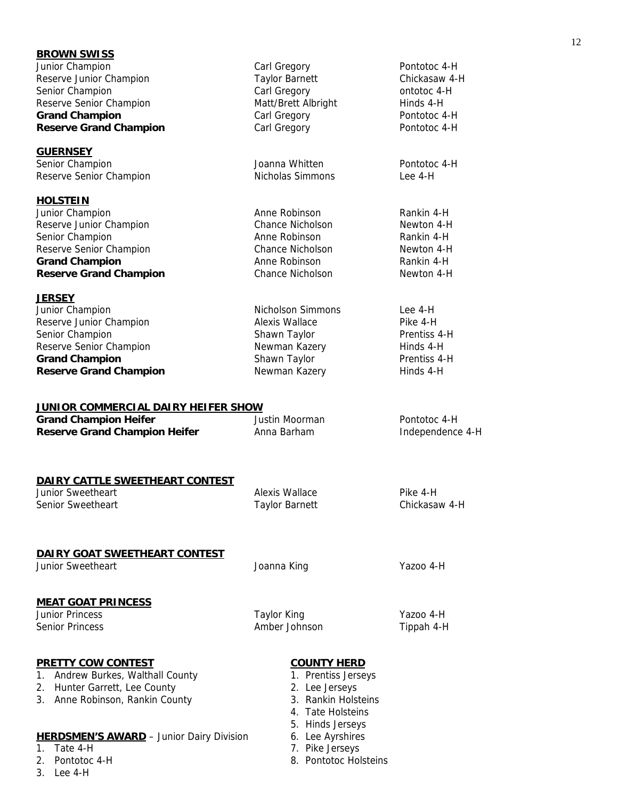| <b>BROWN SWISS</b><br>Junior Champion<br>Reserve Junior Champion<br>Senior Champion<br>Reserve Senior Champion<br><b>Grand Champion</b><br><b>Reserve Grand Champion</b> | Carl Gregory<br><b>Taylor Barnett</b><br>Carl Gregory<br>Matt/Brett Albright<br>Carl Gregory<br>Carl Gregory                     | Pontotoc 4-H<br>Chickasaw 4-H<br>ontotoc 4-H<br>Hinds 4-H<br>Pontotoc 4-H<br>Pontotoc 4-H |
|--------------------------------------------------------------------------------------------------------------------------------------------------------------------------|----------------------------------------------------------------------------------------------------------------------------------|-------------------------------------------------------------------------------------------|
| <b>GUERNSEY</b><br>Senior Champion<br>Reserve Senior Champion                                                                                                            | Joanna Whitten<br>Nicholas Simmons                                                                                               | Pontotoc 4-H<br>$leq 4-H$                                                                 |
| <b>HOLSTEIN</b><br>Junior Champion<br>Reserve Junior Champion<br>Senior Champion<br>Reserve Senior Champion<br><b>Grand Champion</b><br><b>Reserve Grand Champion</b>    | Anne Robinson<br><b>Chance Nicholson</b><br>Anne Robinson<br><b>Chance Nicholson</b><br>Anne Robinson<br><b>Chance Nicholson</b> | Rankin 4-H<br>Newton 4-H<br>Rankin 4-H<br>Newton 4-H<br>Rankin 4-H<br>Newton 4-H          |
| <b>JERSEY</b><br>Junior Champion<br>Reserve Junior Champion<br>Senior Champion<br>Reserve Senior Champion<br><b>Grand Champion</b><br><b>Reserve Grand Champion</b>      | Nicholson Simmons<br>Alexis Wallace<br>Shawn Taylor<br>Newman Kazery<br>Shawn Taylor<br>Newman Kazery                            | Lee 4-H<br>Pike 4-H<br>Prentiss 4-H<br>Hinds 4-H<br>Prentiss 4-H<br>Hinds 4-H             |
| <u>JUNIOR COMMERCIAL DAIRY HEIFER SHOW</u><br><b>Grand Champion Heifer</b><br><b>Reserve Grand Champion Heifer</b>                                                       | <b>Justin Moorman</b><br>Anna Barham                                                                                             | Pontotoc 4-H<br>Independence 4-H                                                          |
| DAIRY CATTLE SWEETHEART CONTEST<br><b>Junior Sweetheart</b><br>Senior Sweetheart                                                                                         | Alexis Wallace<br>Taylor Barnett                                                                                                 | Pike 4-H<br>Chickasaw 4-H                                                                 |
| DAIRY GOAT SWEETHEART CONTEST<br><b>Junior Sweetheart</b>                                                                                                                | Joanna King                                                                                                                      | Yazoo 4-H                                                                                 |
| <b>MEAT GOAT PRINCESS</b><br><b>Junior Princess</b><br><b>Senior Princess</b>                                                                                            | <b>Taylor King</b><br>Amber Johnson                                                                                              | Yazoo 4-H<br>Tippah 4-H                                                                   |
| <b>PRETTY COW CONTEST</b><br>Andrew Burkes, Walthall County<br>1.<br>2. Hunter Garrett, Lee County<br>3. Anne Robinson, Rankin County                                    | <b>COUNTY HERD</b><br>1. Prentiss Jerseys<br>2. Lee Jerseys<br>3. Rankin Holsteins<br>4. Tate Holsteins<br>5. Hinds Jerseys      |                                                                                           |
| <b>HERDSMEN'S AWARD</b> - Junior Dairy Division<br>Tate 4-H<br>1.<br>Pontotoc 4-H<br>2.<br>3.<br>Lee 4-H                                                                 | 6. Lee Ayrshires<br>7. Pike Jerseys<br>8. Pontotoc Holsteins                                                                     |                                                                                           |

# 12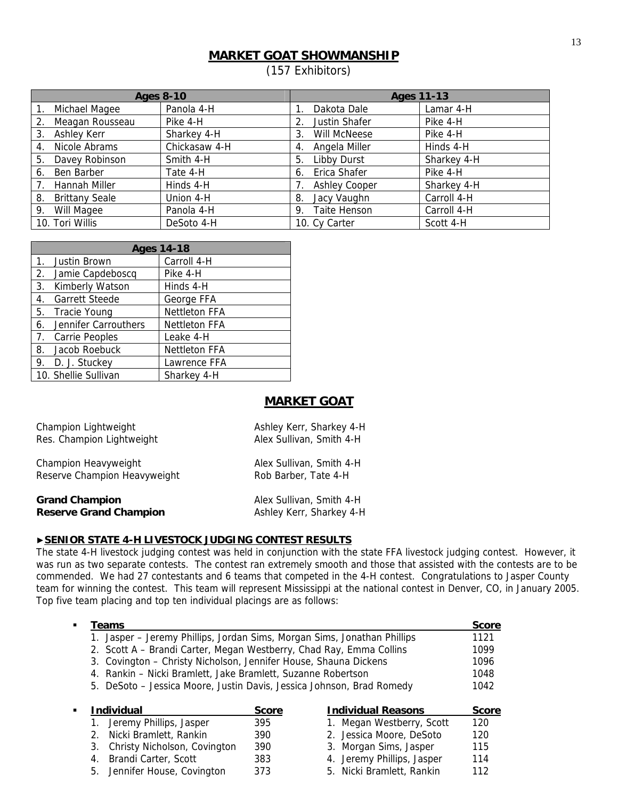# **MARKET GOAT SHOWMANSHIP**

(157 Exhibitors)

|                             | <b>Ages 8-10</b> | <b>Ages 11-13</b>    |             |  |
|-----------------------------|------------------|----------------------|-------------|--|
| Michael Magee               | Panola 4-H       | Dakota Dale          | Lamar 4-H   |  |
| Meagan Rousseau<br>2.       | Pike 4-H         | Justin Shafer<br>2.  | Pike 4-H    |  |
| Ashley Kerr<br>3.           | Sharkey 4-H      | Will McNeese<br>3.   | Pike 4-H    |  |
| Nicole Abrams<br>4.         | Chickasaw 4-H    | Angela Miller<br>4.  | Hinds 4-H   |  |
| Davey Robinson<br>5.        | Smith 4-H        | Libby Durst<br>5.    | Sharkey 4-H |  |
| Ben Barber<br>6.            | Tate 4-H         | Erica Shafer<br>6.   | Pike 4-H    |  |
| Hannah Miller               | Hinds 4-H        | <b>Ashley Cooper</b> | Sharkey 4-H |  |
| <b>Brittany Seale</b><br>8. | Union 4-H        | Jacy Vaughn<br>8.    | Carroll 4-H |  |
| Will Magee<br>9.            | Panola 4-H       | Taite Henson<br>9.   | Carroll 4-H |  |
| 10. Tori Willis             | DeSoto 4-H       | 10. Cy Carter        | Scott 4-H   |  |

|    | <b>Ages 14-18</b>     |                      |  |  |
|----|-----------------------|----------------------|--|--|
|    | 1. Justin Brown       | Carroll 4-H          |  |  |
|    | 2. Jamie Capdeboscq   | Pike 4-H             |  |  |
| 3. | Kimberly Watson       | Hinds 4-H            |  |  |
| 4. | <b>Garrett Steede</b> | George FFA           |  |  |
|    | 5. Tracie Young       | <b>Nettleton FFA</b> |  |  |
| 6. | Jennifer Carrouthers  | <b>Nettleton FFA</b> |  |  |
|    | 7. Carrie Peoples     | Leake 4-H            |  |  |
| 8. | Jacob Roebuck         | Nettleton FFA        |  |  |
|    | 9. D. J. Stuckey      | Lawrence FFA         |  |  |
|    | 10. Shellie Sullivan  | Sharkey 4-H          |  |  |

# **MARKET GOAT**

| Champion Lightweight          | Ashley Kerr, Sharkey 4-H |
|-------------------------------|--------------------------|
| Res. Champion Lightweight     | Alex Sullivan, Smith 4-H |
| Champion Heavyweight          | Alex Sullivan, Smith 4-H |
| Reserve Champion Heavyweight  | Rob Barber, Tate 4-H     |
| <b>Grand Champion</b>         | Alex Sullivan, Smith 4-H |
| <b>Reserve Grand Champion</b> | Ashley Kerr, Sharkey 4-H |

# ▶**SENIOR STATE 4-H LIVESTOCK JUDGING CONTEST RESULTS**

The state 4-H livestock judging contest was held in conjunction with the state FFA livestock judging contest. However, it was run as two separate contests. The contest ran extremely smooth and those that assisted with the contests are to be commended. We had 27 contestants and 6 teams that competed in the 4-H contest. Congratulations to Jasper County team for winning the contest. This team will represent Mississippi at the national contest in Denver, CO, in January 2005. Top five team placing and top ten individual placings are as follows:

|   | Teams                                                                    |              |                            | <b>Score</b> |
|---|--------------------------------------------------------------------------|--------------|----------------------------|--------------|
|   | 1. Jasper – Jeremy Phillips, Jordan Sims, Morgan Sims, Jonathan Phillips |              |                            | 1121         |
|   | 2. Scott A – Brandi Carter, Megan Westberry, Chad Ray, Emma Collins      |              |                            | 1099         |
|   | 3. Covington – Christy Nicholson, Jennifer House, Shauna Dickens         |              |                            | 1096         |
|   | 4. Rankin – Nicki Bramlett, Jake Bramlett, Suzanne Robertson             |              |                            | 1048         |
|   | 5. DeSoto – Jessica Moore, Justin Davis, Jessica Johnson, Brad Romedy    |              |                            | 1042         |
|   |                                                                          |              |                            |              |
| ٠ | <b>Individual</b>                                                        | <b>Score</b> | <b>Individual Reasons</b>  |              |
|   |                                                                          |              |                            | <b>Score</b> |
|   | Jeremy Phillips, Jasper                                                  | 395          | 1. Megan Westberry, Scott  | 120          |
|   | Nicki Bramlett, Rankin<br>$2_{-}$                                        | 390          | 2. Jessica Moore, DeSoto   | 120          |
|   | Christy Nicholson, Covington<br>3.                                       | 390          | 3. Morgan Sims, Jasper     | 115          |
|   | Brandi Carter, Scott<br>4.                                               | 383          | 4. Jeremy Phillips, Jasper | 114          |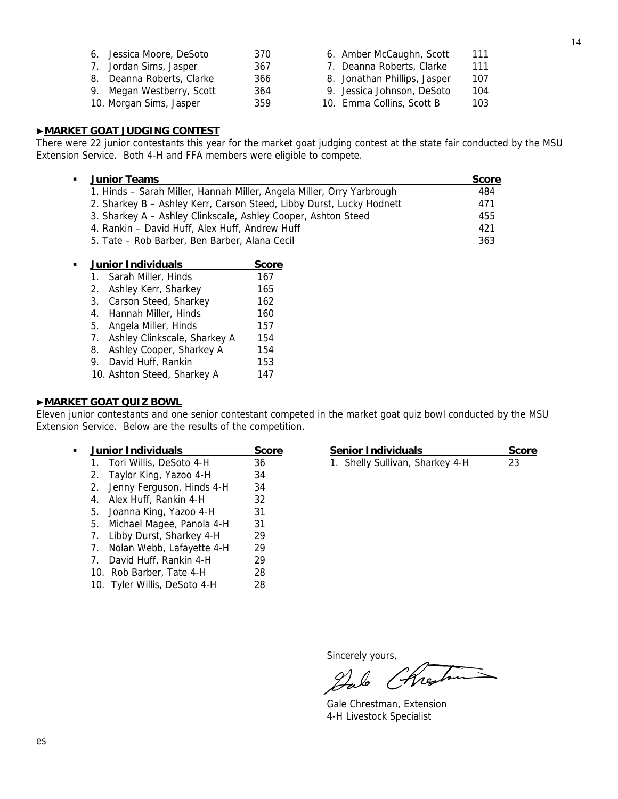| 6. Jessica Moore, DeSoto  | 370 | 6. Amber McCaughn, Scott     | 111 |
|---------------------------|-----|------------------------------|-----|
| 7. Jordan Sims, Jasper    | 367 | 7. Deanna Roberts, Clarke    | 111 |
| 8. Deanna Roberts, Clarke | 366 | 8. Jonathan Phillips, Jasper | 107 |
| 9. Megan Westberry, Scott | 364 | 9. Jessica Johnson, DeSoto   | 104 |
| 10. Morgan Sims, Jasper   | 359 | 10. Emma Collins, Scott B    | 103 |

# ▶**MARKET GOAT JUDGING CONTEST**

There were 22 junior contestants this year for the market goat judging contest at the state fair conducted by the MSU Extension Service. Both 4-H and FFA members were eligible to compete.

| ٠ | <b>Junior Teams</b>                                                   | <b>Score</b> |
|---|-----------------------------------------------------------------------|--------------|
|   | 1. Hinds – Sarah Miller, Hannah Miller, Angela Miller, Orry Yarbrough | 484          |
|   | 2. Sharkey B - Ashley Kerr, Carson Steed, Libby Durst, Lucky Hodnett  | 471          |
|   | 3. Sharkey A - Ashley Clinkscale, Ashley Cooper, Ashton Steed         | 455          |
|   | 4. Rankin - David Huff, Alex Huff, Andrew Huff                        | 421          |
|   | 5. Tate – Rob Barber, Ben Barber, Alana Cecil                         | 363          |

| Junior Individuals              | <b>Score</b> |
|---------------------------------|--------------|
| 1. Sarah Miller, Hinds          | 167          |
| 2. Ashley Kerr, Sharkey         | 165          |
| 3. Carson Steed, Sharkey        | 162          |
| 4. Hannah Miller, Hinds         | 160          |
| 5. Angela Miller, Hinds         | 157          |
| 7. Ashley Clinkscale, Sharkey A | 154          |
| 8. Ashley Cooper, Sharkey A     | 154          |
| 9. David Huff, Rankin           | 153          |
| 10. Ashton Steed, Sharkey A     | 147          |

# ▶**MARKET GOAT QUIZ BOWL**

Eleven junior contestants and one senior contestant competed in the market goat quiz bowl conducted by the MSU Extension Service. Below are the results of the competition.

|                                  | <b>Junior Individuals</b>    |    |
|----------------------------------|------------------------------|----|
| $1_{\cdot}$                      | Tori Willis, DeSoto 4-H      | 36 |
| 2.                               | Taylor King, Yazoo 4-H       | 34 |
| 2.                               | Jenny Ferguson, Hinds 4-H    | 34 |
| 4.                               | Alex Huff, Rankin 4-H        | 32 |
|                                  | 5. Joanna King, Yazoo 4-H    | 31 |
|                                  | 5. Michael Magee, Panola 4-H | 31 |
|                                  | 7. Libby Durst, Sharkey 4-H  | 29 |
|                                  | 7. Nolan Webb, Lafayette 4-H | 29 |
| $7_{\scriptscriptstyle{\ddots}}$ | David Huff, Rankin 4-H       | 29 |
|                                  | 10. Rob Barber, Tate 4-H     | 28 |
|                                  | 10. Tyler Willis, DeSoto 4-H | 28 |
|                                  |                              |    |

| <b>Junior Individuals</b>  | Score | <b>Senior Individuals</b>       | <b>Score</b> |
|----------------------------|-------|---------------------------------|--------------|
| 1. Tori Willis, DeSoto 4-H | 36    | 1. Shelly Sullivan, Sharkey 4-H |              |

Sincerely yours,

Chres  $\mathscr{L}% _{G}(\mathbb{R}^{2n})$ 

 Gale Chrestman, Extension 4-H Livestock Specialist